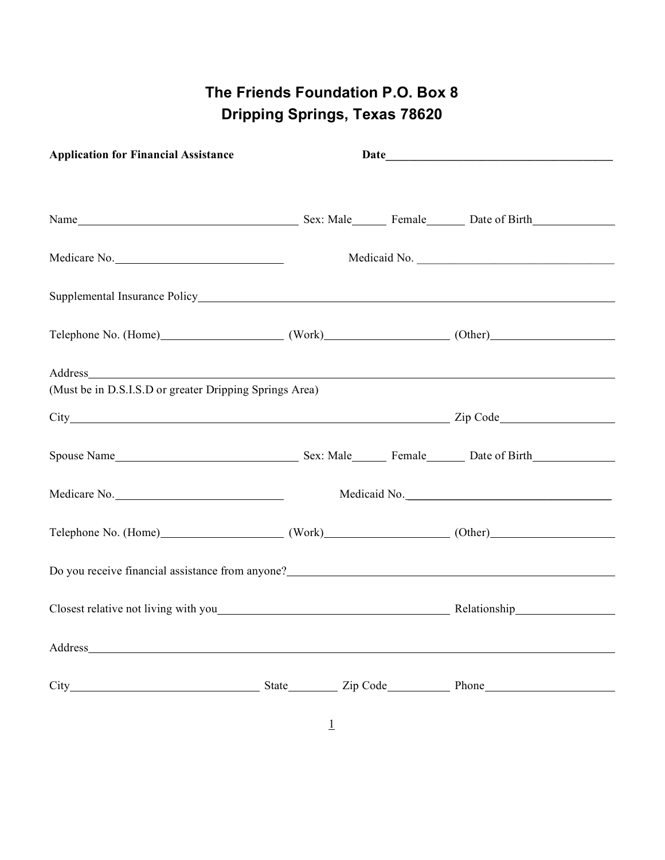## **The Friends Foundation P.O. Box 8 Dripping Springs, Texas 78620**

| <b>Application for Financial Assistance</b>                                                                                                                                                                                    |  |  |  |              |  |
|--------------------------------------------------------------------------------------------------------------------------------------------------------------------------------------------------------------------------------|--|--|--|--------------|--|
|                                                                                                                                                                                                                                |  |  |  |              |  |
| Medicare No.                                                                                                                                                                                                                   |  |  |  |              |  |
|                                                                                                                                                                                                                                |  |  |  |              |  |
| Telephone No. (Home) (Work) (Work) (Other)                                                                                                                                                                                     |  |  |  |              |  |
| (Must be in D.S.I.S.D or greater Dripping Springs Area)                                                                                                                                                                        |  |  |  |              |  |
|                                                                                                                                                                                                                                |  |  |  |              |  |
| Spouse Name Spouse Name Spouse Name Spouse Name Spouse Name Spouse Name Spouse Name Spouse Name Spouse Name Spouse Name Spouse Name Spouse Name Spouse Name Spouse Name Spouse Name Spouse Name Spouse Name Spouse Name Spouse |  |  |  |              |  |
| Medicare No.                                                                                                                                                                                                                   |  |  |  | Medicaid No. |  |
| Telephone No. (Home) (Work) (Work) (Other)                                                                                                                                                                                     |  |  |  |              |  |
| Do you receive financial assistance from anyone?                                                                                                                                                                               |  |  |  |              |  |
|                                                                                                                                                                                                                                |  |  |  |              |  |
|                                                                                                                                                                                                                                |  |  |  |              |  |
|                                                                                                                                                                                                                                |  |  |  |              |  |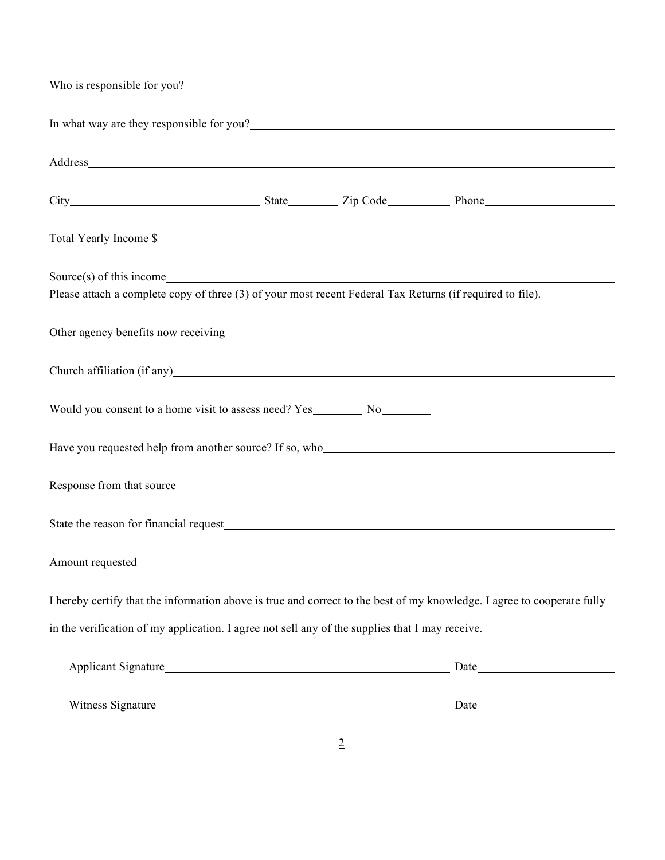| In what way are they responsible for you?<br><u>Letting the substitute of the substitute of the substitute</u> of the substitute of the substitute of the substitute of the substitute of the substitute of the substitute of the sub |  |                                       |  |
|---------------------------------------------------------------------------------------------------------------------------------------------------------------------------------------------------------------------------------------|--|---------------------------------------|--|
|                                                                                                                                                                                                                                       |  |                                       |  |
|                                                                                                                                                                                                                                       |  |                                       |  |
| Total Yearly Income \$                                                                                                                                                                                                                |  |                                       |  |
| Source(s) of this income<br>Please attach a complete copy of three (3) of your most recent Federal Tax Returns (if required to file).                                                                                                 |  |                                       |  |
| Other agency benefits now receiving<br><u>Department</u>                                                                                                                                                                              |  |                                       |  |
|                                                                                                                                                                                                                                       |  |                                       |  |
|                                                                                                                                                                                                                                       |  |                                       |  |
| Have you requested help from another source? If so, who                                                                                                                                                                               |  |                                       |  |
| Response from that source                                                                                                                                                                                                             |  |                                       |  |
| State the reason for financial request example of the state of the state of the state of the state of the state of the state of the state of the state of the state of the state of the state of the state of the state of the        |  |                                       |  |
| Amount requested                                                                                                                                                                                                                      |  |                                       |  |
| I hereby certify that the information above is true and correct to the best of my knowledge. I agree to cooperate fully                                                                                                               |  |                                       |  |
| in the verification of my application. I agree not sell any of the supplies that I may receive.                                                                                                                                       |  |                                       |  |
|                                                                                                                                                                                                                                       |  |                                       |  |
|                                                                                                                                                                                                                                       |  | Witness Signature Date Date Date Date |  |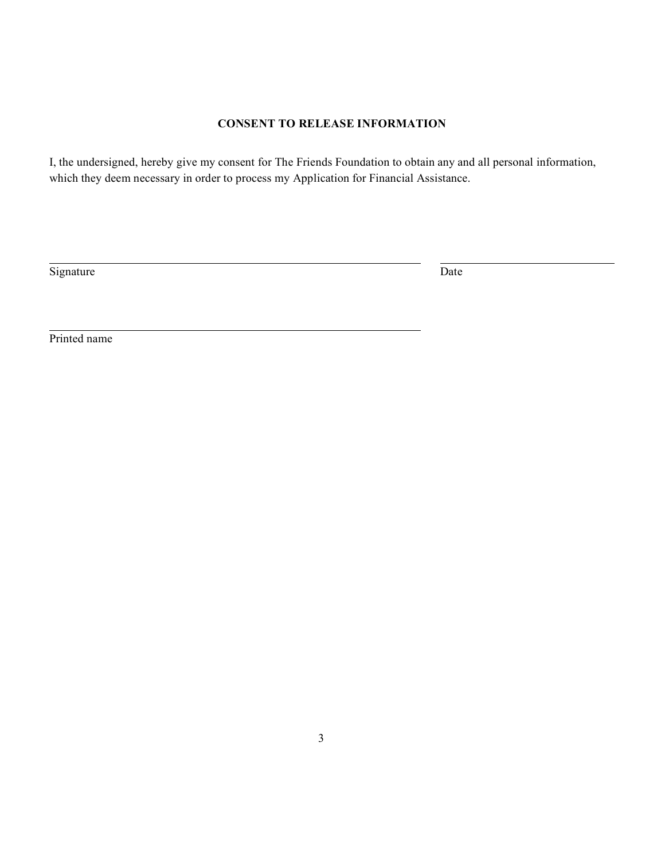## **CONSENT TO RELEASE INFORMATION**

I, the undersigned, hereby give my consent for The Friends Foundation to obtain any and all personal information, which they deem necessary in order to process my Application for Financial Assistance.

Signature Date

Printed name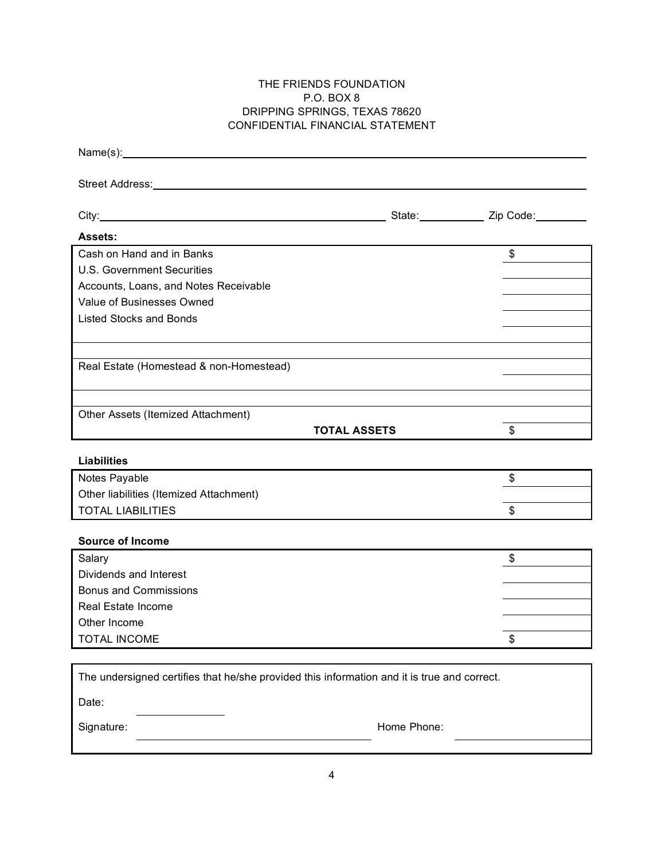## THE FRIENDS FOUNDATION P.O. BOX 8 DRIPPING SPRINGS, TEXAS 78620 CONFIDENTIAL FINANCIAL STATEMENT

| Street Address: No. 2014 12:00:00 12:00:00 12:00:00 12:00:00 12:00:00 12:00:00 12:00:00 12:00:00 12:00:00 12:00:00 12:00:00 12:00:00 12:00:00 12:00:00 12:00:00 12:00:00 12:00:00 12:00:00 12:00:00 12:00:00 12:00:00 12:00:00 |                      |
|--------------------------------------------------------------------------------------------------------------------------------------------------------------------------------------------------------------------------------|----------------------|
|                                                                                                                                                                                                                                |                      |
|                                                                                                                                                                                                                                |                      |
| <b>Assets:</b>                                                                                                                                                                                                                 |                      |
| Cash on Hand and in Banks                                                                                                                                                                                                      | $\frac{1}{\sqrt{2}}$ |
| <b>U.S. Government Securities</b>                                                                                                                                                                                              |                      |
| Accounts, Loans, and Notes Receivable                                                                                                                                                                                          |                      |
| Value of Businesses Owned                                                                                                                                                                                                      |                      |
| Listed Stocks and Bonds                                                                                                                                                                                                        |                      |
|                                                                                                                                                                                                                                |                      |
|                                                                                                                                                                                                                                |                      |
| Real Estate (Homestead & non-Homestead)                                                                                                                                                                                        |                      |
|                                                                                                                                                                                                                                |                      |
| Other Assets (Itemized Attachment)                                                                                                                                                                                             |                      |
| <b>TOTAL ASSETS</b>                                                                                                                                                                                                            | \$                   |
|                                                                                                                                                                                                                                |                      |
| <b>Liabilities</b>                                                                                                                                                                                                             |                      |
| Notes Payable                                                                                                                                                                                                                  | \$                   |
| Other liabilities (Itemized Attachment)                                                                                                                                                                                        |                      |
| <b>TOTAL LIABILITIES</b>                                                                                                                                                                                                       | \$                   |
|                                                                                                                                                                                                                                |                      |
| <b>Source of Income</b>                                                                                                                                                                                                        |                      |
| Salary                                                                                                                                                                                                                         | \$                   |
| Dividends and Interest                                                                                                                                                                                                         |                      |
| <b>Bonus and Commissions</b>                                                                                                                                                                                                   |                      |
| Real Estate Income                                                                                                                                                                                                             |                      |
| Other Income                                                                                                                                                                                                                   |                      |
| <b>TOTAL INCOME</b>                                                                                                                                                                                                            | \$                   |
|                                                                                                                                                                                                                                |                      |
| The undersigned certifies that he/she provided this information and it is true and correct.                                                                                                                                    |                      |
| Date:                                                                                                                                                                                                                          |                      |
| Home Phone:<br>Signature:                                                                                                                                                                                                      |                      |